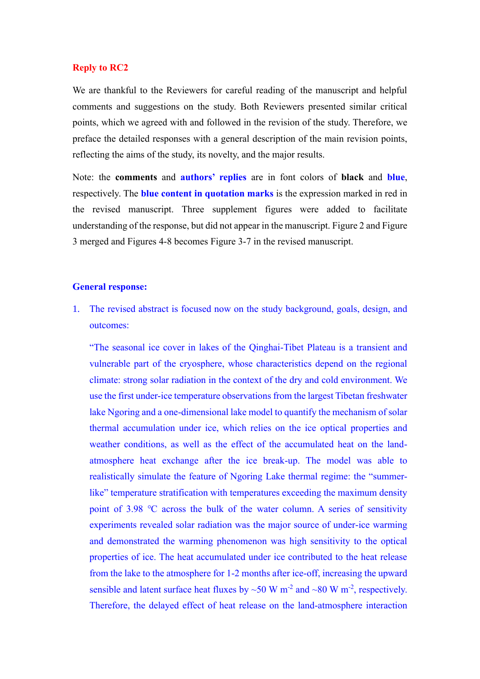## **Reply to RC2**

We are thankful to the Reviewers for careful reading of the manuscript and helpful comments and suggestions on the study. Both Reviewers presented similar critical points, which we agreed with and followed in the revision of the study. Therefore, we preface the detailed responses with a general description of the main revision points, reflecting the aims of the study, its novelty, and the major results.

Note: the **comments** and **authors' replies** are in font colors of **black** and **blue**, respectively. The **blue content in quotation marks** is the expression marked in red in the revised manuscript. Three supplement figures were added to facilitate understanding of the response, but did not appear in the manuscript. Figure 2 and Figure 3 merged and Figures 4-8 becomes Figure 3-7 in the revised manuscript.

### **General response:**

1. The revised abstract is focused now on the study background, goals, design, and outcomes:

"The seasonal ice cover in lakes of the Qinghai-Tibet Plateau is a transient and vulnerable part of the cryosphere, whose characteristics depend on the regional climate: strong solar radiation in the context of the dry and cold environment. We use the first under-ice temperature observations from the largest Tibetan freshwater lake Ngoring and a one-dimensional lake model to quantify the mechanism of solar thermal accumulation under ice, which relies on the ice optical properties and weather conditions, as well as the effect of the accumulated heat on the landatmosphere heat exchange after the ice break-up. The model was able to realistically simulate the feature of Ngoring Lake thermal regime: the "summerlike" temperature stratification with temperatures exceeding the maximum density point of 3.98 ℃ across the bulk of the water column. A series of sensitivity experiments revealed solar radiation was the major source of under-ice warming and demonstrated the warming phenomenon was high sensitivity to the optical properties of ice. The heat accumulated under ice contributed to the heat release from the lake to the atmosphere for 1-2 months after ice-off, increasing the upward sensible and latent surface heat fluxes by  $\sim$  50 W m<sup>-2</sup> and  $\sim$  80 W m<sup>-2</sup>, respectively. Therefore, the delayed effect of heat release on the land-atmosphere interaction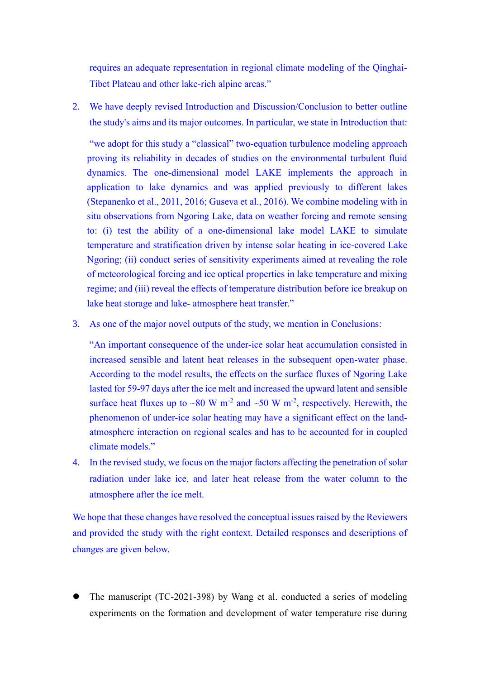requires an adequate representation in regional climate modeling of the Qinghai-Tibet Plateau and other lake-rich alpine areas."

2. We have deeply revised Introduction and Discussion/Conclusion to better outline the study's aims and its major outcomes. In particular, we state in Introduction that:

"we adopt for this study a "classical" two-equation turbulence modeling approach proving its reliability in decades of studies on the environmental turbulent fluid dynamics. The one-dimensional model LAKE implements the approach in application to lake dynamics and was applied previously to different lakes (Stepanenko et al., 2011, 2016; Guseva et al., 2016). We combine modeling with in situ observations from Ngoring Lake, data on weather forcing and remote sensing to: (i) test the ability of a one-dimensional lake model LAKE to simulate temperature and stratification driven by intense solar heating in ice-covered Lake Ngoring; (ii) conduct series of sensitivity experiments aimed at revealing the role of meteorological forcing and ice optical properties in lake temperature and mixing regime; and (iii) reveal the effects of temperature distribution before ice breakup on lake heat storage and lake- atmosphere heat transfer."

3. As one of the major novel outputs of the study, we mention in Conclusions:

"An important consequence of the under-ice solar heat accumulation consisted in increased sensible and latent heat releases in the subsequent open-water phase. According to the model results, the effects on the surface fluxes of Ngoring Lake lasted for 59-97 days after the ice melt and increased the upward latent and sensible surface heat fluxes up to ~80 W m<sup>-2</sup> and ~50 W m<sup>-2</sup>, respectively. Herewith, the phenomenon of under-ice solar heating may have a significant effect on the landatmosphere interaction on regional scales and has to be accounted for in coupled climate models."

4. In the revised study, we focus on the major factors affecting the penetration of solar radiation under lake ice, and later heat release from the water column to the atmosphere after the ice melt.

We hope that these changes have resolved the conceptual issues raised by the Reviewers and provided the study with the right context. Detailed responses and descriptions of changes are given below.

⚫ The manuscript (TC-2021-398) by Wang et al. conducted a series of modeling experiments on the formation and development of water temperature rise during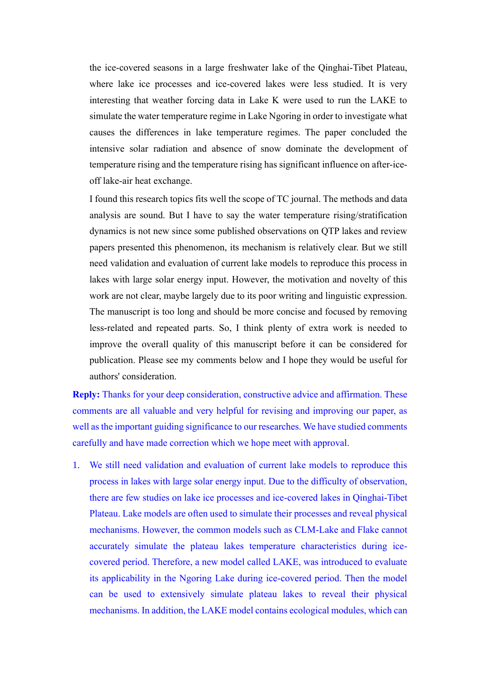the ice-covered seasons in a large freshwater lake of the Qinghai-Tibet Plateau, where lake ice processes and ice-covered lakes were less studied. It is very interesting that weather forcing data in Lake K were used to run the LAKE to simulate the water temperature regime in Lake Ngoring in order to investigate what causes the differences in lake temperature regimes. The paper concluded the intensive solar radiation and absence of snow dominate the development of temperature rising and the temperature rising has significant influence on after-iceoff lake-air heat exchange.

I found this research topics fits well the scope of TC journal. The methods and data analysis are sound. But I have to say the water temperature rising/stratification dynamics is not new since some published observations on QTP lakes and review papers presented this phenomenon, its mechanism is relatively clear. But we still need validation and evaluation of current lake models to reproduce this process in lakes with large solar energy input. However, the motivation and novelty of this work are not clear, maybe largely due to its poor writing and linguistic expression. The manuscript is too long and should be more concise and focused by removing less-related and repeated parts. So, I think plenty of extra work is needed to improve the overall quality of this manuscript before it can be considered for publication. Please see my comments below and I hope they would be useful for authors' consideration.

**Reply:** Thanks for your deep consideration, constructive advice and affirmation. These comments are all valuable and very helpful for revising and improving our paper, as well as the important guiding significance to our researches. We have studied comments carefully and have made correction which we hope meet with approval.

1. We still need validation and evaluation of current lake models to reproduce this process in lakes with large solar energy input. Due to the difficulty of observation, there are few studies on lake ice processes and ice-covered lakes in Qinghai-Tibet Plateau. Lake models are often used to simulate their processes and reveal physical mechanisms. However, the common models such as CLM-Lake and Flake cannot accurately simulate the plateau lakes temperature characteristics during icecovered period. Therefore, a new model called LAKE, was introduced to evaluate its applicability in the Ngoring Lake during ice-covered period. Then the model can be used to extensively simulate plateau lakes to reveal their physical mechanisms. In addition, the LAKE model contains ecological modules, which can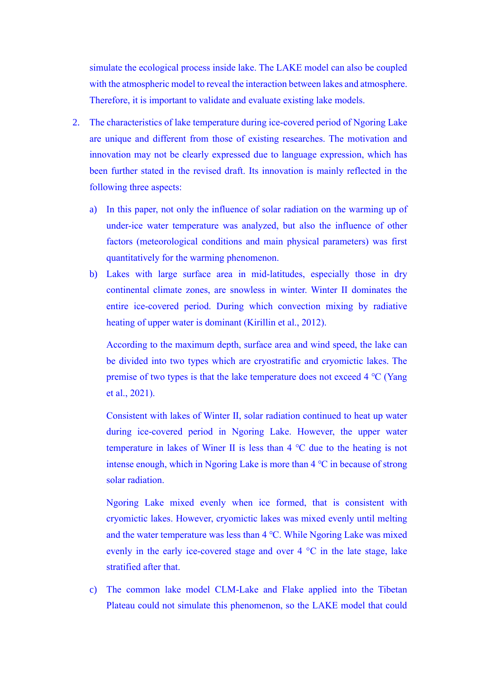simulate the ecological process inside lake. The LAKE model can also be coupled with the atmospheric model to reveal the interaction between lakes and atmosphere. Therefore, it is important to validate and evaluate existing lake models.

- 2. The characteristics of lake temperature during ice-covered period of Ngoring Lake are unique and different from those of existing researches. The motivation and innovation may not be clearly expressed due to language expression, which has been further stated in the revised draft. Its innovation is mainly reflected in the following three aspects:
	- a) In this paper, not only the influence of solar radiation on the warming up of under-ice water temperature was analyzed, but also the influence of other factors (meteorological conditions and main physical parameters) was first quantitatively for the warming phenomenon.
	- b) Lakes with large surface area in mid-latitudes, especially those in dry continental climate zones, are snowless in winter. Winter II dominates the entire ice-covered period. During which convection mixing by radiative heating of upper water is dominant (Kirillin et al., 2012).

According to the maximum depth, surface area and wind speed, the lake can be divided into two types which are cryostratific and cryomictic lakes. The premise of two types is that the lake temperature does not exceed 4 °C (Yang et al., 2021).

Consistent with lakes of Winter Ⅱ, solar radiation continued to heat up water during ice-covered period in Ngoring Lake. However, the upper water temperature in lakes of Winer Ⅱ is less than 4 ℃ due to the heating is not intense enough, which in Ngoring Lake is more than 4 ℃ in because of strong solar radiation.

Ngoring Lake mixed evenly when ice formed, that is consistent with cryomictic lakes. However, cryomictic lakes was mixed evenly until melting and the water temperature was less than 4 ℃. While Ngoring Lake was mixed evenly in the early ice-covered stage and over 4 °C in the late stage, lake stratified after that.

c) The common lake model CLM-Lake and Flake applied into the Tibetan Plateau could not simulate this phenomenon, so the LAKE model that could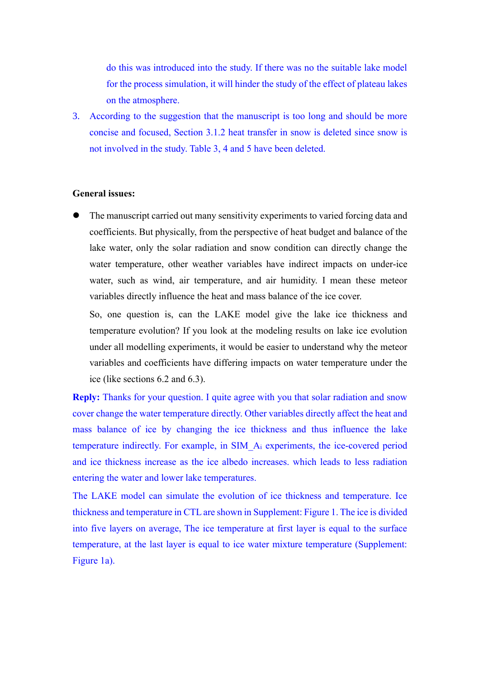do this was introduced into the study. If there was no the suitable lake model for the process simulation, it will hinder the study of the effect of plateau lakes on the atmosphere.

3. According to the suggestion that the manuscript is too long and should be more concise and focused, Section 3.1.2 heat transfer in snow is deleted since snow is not involved in the study. Table 3, 4 and 5 have been deleted.

# **General issues:**

⚫ The manuscript carried out many sensitivity experiments to varied forcing data and coefficients. But physically, from the perspective of heat budget and balance of the lake water, only the solar radiation and snow condition can directly change the water temperature, other weather variables have indirect impacts on under-ice water, such as wind, air temperature, and air humidity. I mean these meteor variables directly influence the heat and mass balance of the ice cover.

So, one question is, can the LAKE model give the lake ice thickness and temperature evolution? If you look at the modeling results on lake ice evolution under all modelling experiments, it would be easier to understand why the meteor variables and coefficients have differing impacts on water temperature under the ice (like sections 6.2 and 6.3).

**Reply:** Thanks for your question. I quite agree with you that solar radiation and snow cover change the water temperature directly. Other variables directly affect the heat and mass balance of ice by changing the ice thickness and thus influence the lake temperature indirectly. For example, in SIM\_A<sup>i</sup> experiments, the ice-covered period and ice thickness increase as the ice albedo increases. which leads to less radiation entering the water and lower lake temperatures.

The LAKE model can simulate the evolution of ice thickness and temperature. Ice thickness and temperature in CTL are shown in Supplement: Figure 1. The ice is divided into five layers on average, The ice temperature at first layer is equal to the surface temperature, at the last layer is equal to ice water mixture temperature (Supplement: Figure 1a).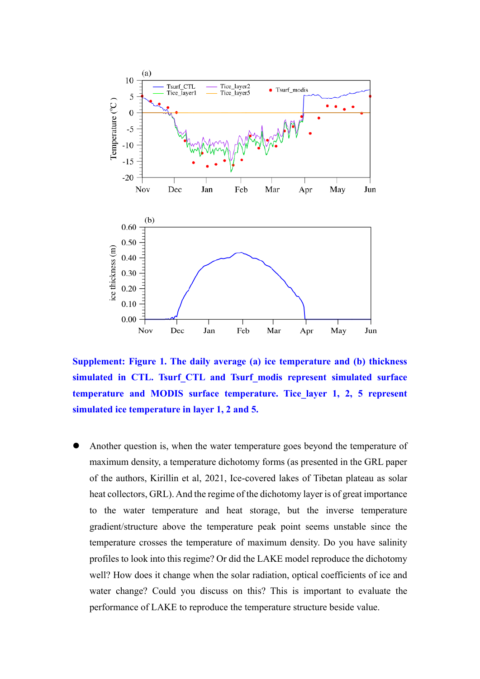

**Supplement: Figure 1. The daily average (a) ice temperature and (b) thickness simulated in CTL. Tsurf\_CTL and Tsurf\_modis represent simulated surface temperature and MODIS surface temperature. Tice\_layer 1, 2, 5 represent simulated ice temperature in layer 1, 2 and 5.**

⚫ Another question is, when the water temperature goes beyond the temperature of maximum density, a temperature dichotomy forms (as presented in the GRL paper of the authors, Kirillin et al, 2021, Ice-covered lakes of Tibetan plateau as solar heat collectors, GRL). And the regime of the dichotomy layer is of great importance to the water temperature and heat storage, but the inverse temperature gradient/structure above the temperature peak point seems unstable since the temperature crosses the temperature of maximum density. Do you have salinity profiles to look into this regime? Or did the LAKE model reproduce the dichotomy well? How does it change when the solar radiation, optical coefficients of ice and water change? Could you discuss on this? This is important to evaluate the performance of LAKE to reproduce the temperature structure beside value.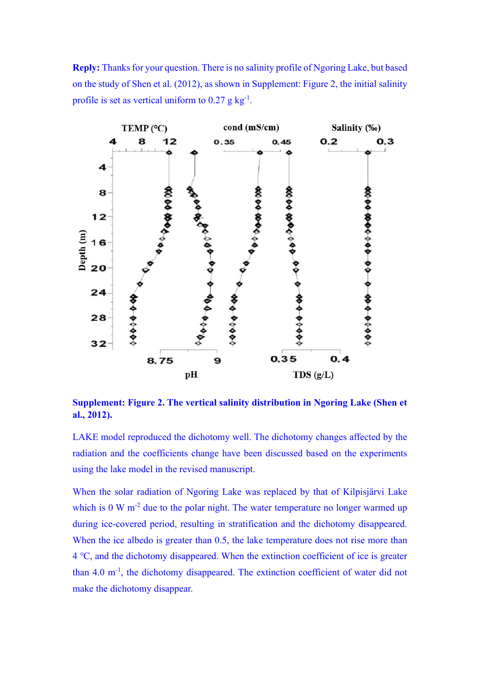**Reply:** Thanks for your question. There is no salinity profile of Ngoring Lake, but based on the study of Shen et al. (2012), as shown in Supplement: Figure 2, the initial salinity profile is set as vertical uniform to  $0.27$  g kg<sup>-1</sup>.



**Supplement: Figure 2. The vertical salinity distribution in Ngoring Lake (Shen et al., 2012).**

LAKE model reproduced the dichotomy well. The dichotomy changes affected by the radiation and the coefficients change have been discussed based on the experiments using the lake model in the revised manuscript.

When the solar radiation of Ngoring Lake was replaced by that of Kilpisjärvi Lake which is  $0 \text{ W m}^2$  due to the polar night. The water temperature no longer warmed up during ice-covered period, resulting in stratification and the dichotomy disappeared. When the ice albedo is greater than 0.5, the lake temperature does not rise more than 4 ℃, and the dichotomy disappeared. When the extinction coefficient of ice is greater than 4.0 m<sup>-1</sup>, the dichotomy disappeared. The extinction coefficient of water did not make the dichotomy disappear.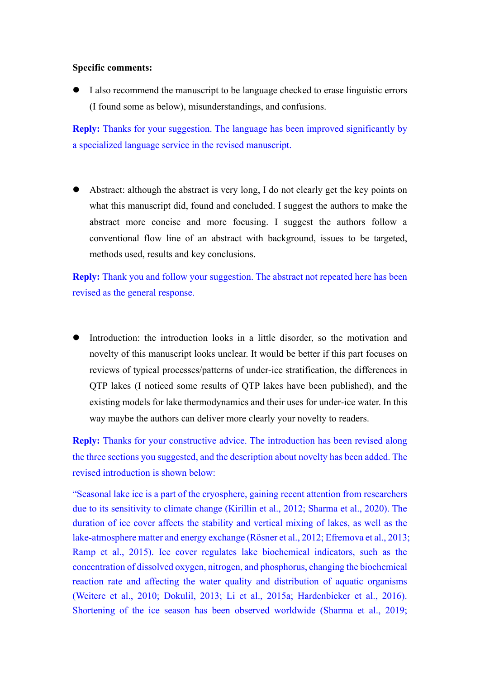## **Specific comments:**

⚫ I also recommend the manuscript to be language checked to erase linguistic errors (I found some as below), misunderstandings, and confusions.

**Reply:** Thanks for your suggestion. The language has been improved significantly by a specialized language service in the revised manuscript.

⚫ Abstract: although the abstract is very long, I do not clearly get the key points on what this manuscript did, found and concluded. I suggest the authors to make the abstract more concise and more focusing. I suggest the authors follow a conventional flow line of an abstract with background, issues to be targeted, methods used, results and key conclusions.

**Reply:** Thank you and follow your suggestion. The abstract not repeated here has been revised as the general response.

Introduction: the introduction looks in a little disorder, so the motivation and novelty of this manuscript looks unclear. It would be better if this part focuses on reviews of typical processes/patterns of under-ice stratification, the differences in QTP lakes (I noticed some results of QTP lakes have been published), and the existing models for lake thermodynamics and their uses for under-ice water. In this way maybe the authors can deliver more clearly your novelty to readers.

**Reply:** Thanks for your constructive advice. The introduction has been revised along the three sections you suggested, and the description about novelty has been added. The revised introduction is shown below:

"Seasonal lake ice is a part of the cryosphere, gaining recent attention from researchers due to its sensitivity to climate change (Kirillin et al., 2012; Sharma et al., 2020). The duration of ice cover affects the stability and vertical mixing of lakes, as well as the lake-atmosphere matter and energy exchange (Rösner et al., 2012; Efremova et al., 2013; Ramp et al., 2015). Ice cover regulates lake biochemical indicators, such as the concentration of dissolved oxygen, nitrogen, and phosphorus, changing the biochemical reaction rate and affecting the water quality and distribution of aquatic organisms (Weitere et al., 2010; Dokulil, 2013; Li et al., 2015a; Hardenbicker et al., 2016). Shortening of the ice season has been observed worldwide (Sharma et al., 2019;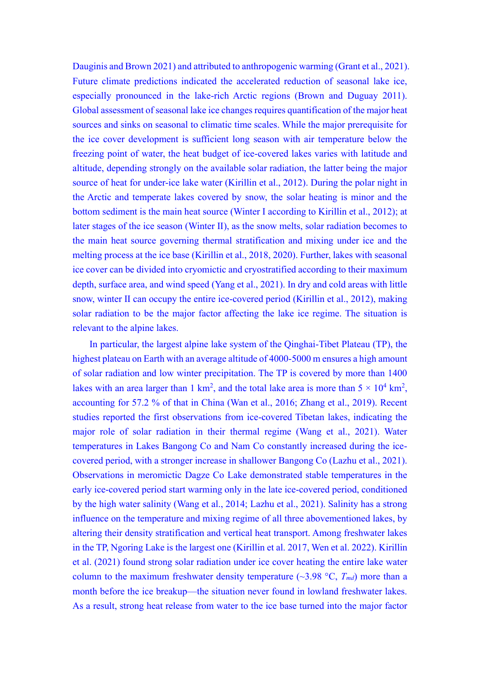Dauginis and Brown 2021) and attributed to anthropogenic warming (Grant et al., 2021). Future climate predictions indicated the accelerated reduction of seasonal lake ice, especially pronounced in the lake-rich Arctic regions (Brown and Duguay 2011). Global assessment of seasonal lake ice changes requires quantification of the major heat sources and sinks on seasonal to climatic time scales. While the major prerequisite for the ice cover development is sufficient long season with air temperature below the freezing point of water, the heat budget of ice-covered lakes varies with latitude and altitude, depending strongly on the available solar radiation, the latter being the major source of heat for under-ice lake water (Kirillin et al., 2012). During the polar night in the Arctic and temperate lakes covered by snow, the solar heating is minor and the bottom sediment is the main heat source (Winter I according to Kirillin et al., 2012); at later stages of the ice season (Winter Ⅱ), as the snow melts, solar radiation becomes to the main heat source governing thermal stratification and mixing under ice and the melting process at the ice base (Kirillin et al., 2018, 2020). Further, lakes with seasonal ice cover can be divided into cryomictic and cryostratified according to their maximum depth, surface area, and wind speed (Yang et al., 2021). In dry and cold areas with little snow, winter II can occupy the entire ice-covered period (Kirillin et al., 2012), making solar radiation to be the major factor affecting the lake ice regime. The situation is relevant to the alpine lakes.

In particular, the largest alpine lake system of the Qinghai-Tibet Plateau (TP), the highest plateau on Earth with an average altitude of 4000-5000 m ensures a high amount of solar radiation and low winter precipitation. The TP is covered by more than 1400 lakes with an area larger than 1 km<sup>2</sup>, and the total lake area is more than  $5 \times 10^4$  km<sup>2</sup>, accounting for 57.2 % of that in China (Wan et al., 2016; Zhang et al., 2019). Recent studies reported the first observations from ice-covered Tibetan lakes, indicating the major role of solar radiation in their thermal regime (Wang et al., 2021). Water temperatures in Lakes Bangong Co and Nam Co constantly increased during the icecovered period, with a stronger increase in shallower Bangong Co (Lazhu et al., 2021). Observations in meromictic Dagze Co Lake demonstrated stable temperatures in the early ice-covered period start warming only in the late ice-covered period, conditioned by the high water salinity (Wang et al., 2014; Lazhu et al., 2021). Salinity has a strong influence on the temperature and mixing regime of all three abovementioned lakes, by altering their density stratification and vertical heat transport. Among freshwater lakes in the TP, Ngoring Lake is the largest one (Kirillin et al. 2017, Wen et al. 2022). Kirillin et al. (2021) found strong solar radiation under ice cover heating the entire lake water column to the maximum freshwater density temperature  $(\sim 3.98 \text{ °C}, T_{md})$  more than a month before the ice breakup—the situation never found in lowland freshwater lakes. As a result, strong heat release from water to the ice base turned into the major factor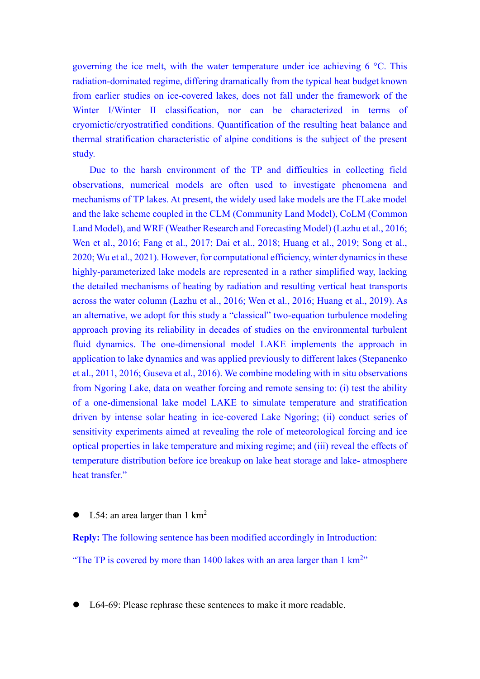governing the ice melt, with the water temperature under ice achieving 6 °C. This radiation-dominated regime, differing dramatically from the typical heat budget known from earlier studies on ice-covered lakes, does not fall under the framework of the Winter I/Winter II classification, nor can be characterized in terms of cryomictic/cryostratified conditions. Quantification of the resulting heat balance and thermal stratification characteristic of alpine conditions is the subject of the present study.

Due to the harsh environment of the TP and difficulties in collecting field observations, numerical models are often used to investigate phenomena and mechanisms of TP lakes. At present, the widely used lake models are the FLake model and the lake scheme coupled in the CLM (Community Land Model), CoLM (Common Land Model), and WRF (Weather Research and Forecasting Model) (Lazhu et al., 2016; Wen et al., 2016; Fang et al., 2017; Dai et al., 2018; Huang et al., 2019; Song et al., 2020; Wu et al., 2021). However, for computational efficiency, winter dynamics in these highly-parameterized lake models are represented in a rather simplified way, lacking the detailed mechanisms of heating by radiation and resulting vertical heat transports across the water column (Lazhu et al., 2016; Wen et al., 2016; Huang et al., 2019). As an alternative, we adopt for this study a "classical" two-equation turbulence modeling approach proving its reliability in decades of studies on the environmental turbulent fluid dynamics. The one-dimensional model LAKE implements the approach in application to lake dynamics and was applied previously to different lakes (Stepanenko et al., 2011, 2016; Guseva et al., 2016). We combine modeling with in situ observations from Ngoring Lake, data on weather forcing and remote sensing to: (i) test the ability of a one-dimensional lake model LAKE to simulate temperature and stratification driven by intense solar heating in ice-covered Lake Ngoring; (ii) conduct series of sensitivity experiments aimed at revealing the role of meteorological forcing and ice optical properties in lake temperature and mixing regime; and (iii) reveal the effects of temperature distribution before ice breakup on lake heat storage and lake- atmosphere heat transfer."

L54: an area larger than  $1 \text{ km}^2$ 

**Reply:** The following sentence has been modified accordingly in Introduction: "The TP is covered by more than  $1400$  lakes with an area larger than  $1 \text{ km}^{2}$ "

⚫ L64-69: Please rephrase these sentences to make it more readable.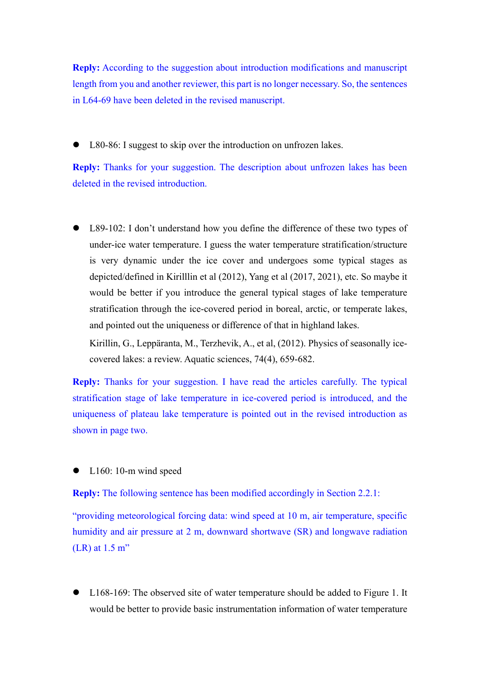**Reply:** According to the suggestion about introduction modifications and manuscript length from you and another reviewer, this part is no longer necessary. So, the sentences in L64-69 have been deleted in the revised manuscript.

L80-86: I suggest to skip over the introduction on unfrozen lakes.

**Reply:** Thanks for your suggestion. The description about unfrozen lakes has been deleted in the revised introduction.

⚫ L89-102: I don't understand how you define the difference of these two types of under-ice water temperature. I guess the water temperature stratification/structure is very dynamic under the ice cover and undergoes some typical stages as depicted/defined in Kirilllin et al (2012), Yang et al (2017, 2021), etc. So maybe it would be better if you introduce the general typical stages of lake temperature stratification through the ice-covered period in boreal, arctic, or temperate lakes, and pointed out the uniqueness or difference of that in highland lakes.

Kirillin, G., Leppäranta, M., Terzhevik, A., et al, (2012). Physics of seasonally icecovered lakes: a review. Aquatic sciences, 74(4), 659-682.

**Reply:** Thanks for your suggestion. I have read the articles carefully. The typical stratification stage of lake temperature in ice-covered period is introduced, and the uniqueness of plateau lake temperature is pointed out in the revised introduction as shown in page two.

L160: 10-m wind speed

**Reply:** The following sentence has been modified accordingly in Section 2.2.1:

"providing meteorological forcing data: wind speed at 10 m, air temperature, specific humidity and air pressure at 2 m, downward shortwave (SR) and longwave radiation (LR) at 1.5 m"

L168-169: The observed site of water temperature should be added to Figure 1. It would be better to provide basic instrumentation information of water temperature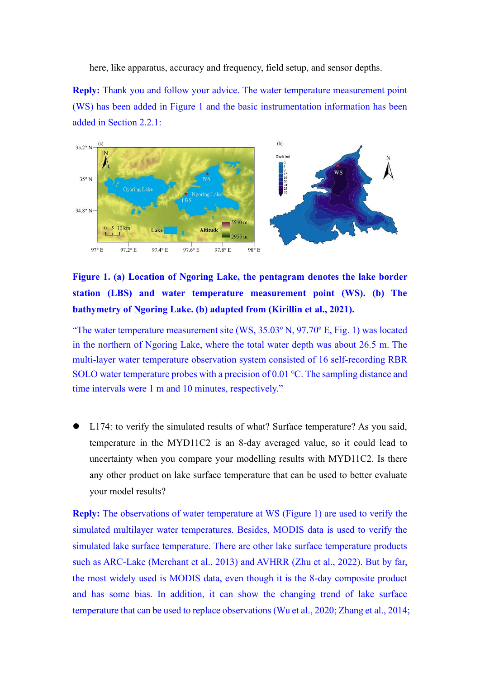here, like apparatus, accuracy and frequency, field setup, and sensor depths.

**Reply:** Thank you and follow your advice. The water temperature measurement point (WS) has been added in Figure 1 and the basic instrumentation information has been added in Section 2.2.1:



**Figure 1. (a) Location of Ngoring Lake, the pentagram denotes the lake border station (LBS) and water temperature measurement point (WS). (b) The bathymetry of Ngoring Lake. (b) adapted from (Kirillin et al., 2021).**

"The water temperature measurement site (WS, 35.03º N, 97.70º E, Fig. 1) was located in the northern of Ngoring Lake, where the total water depth was about 26.5 m. The multi-layer water temperature observation system consisted of 16 self-recording RBR SOLO water temperature probes with a precision of 0.01 ℃. The sampling distance and time intervals were 1 m and 10 minutes, respectively."

⚫ L174: to verify the simulated results of what? Surface temperature? As you said, temperature in the MYD11C2 is an 8-day averaged value, so it could lead to uncertainty when you compare your modelling results with MYD11C2. Is there any other product on lake surface temperature that can be used to better evaluate your model results?

**Reply:** The observations of water temperature at WS (Figure 1) are used to verify the simulated multilayer water temperatures. Besides, MODIS data is used to verify the simulated lake surface temperature. There are other lake surface temperature products such as ARC-Lake (Merchant et al., 2013) and AVHRR (Zhu et al., 2022). But by far, the most widely used is MODIS data, even though it is the 8-day composite product and has some bias. In addition, it can show the changing trend of lake surface temperature that can be used to replace observations (Wu et al., 2020; Zhang et al., 2014;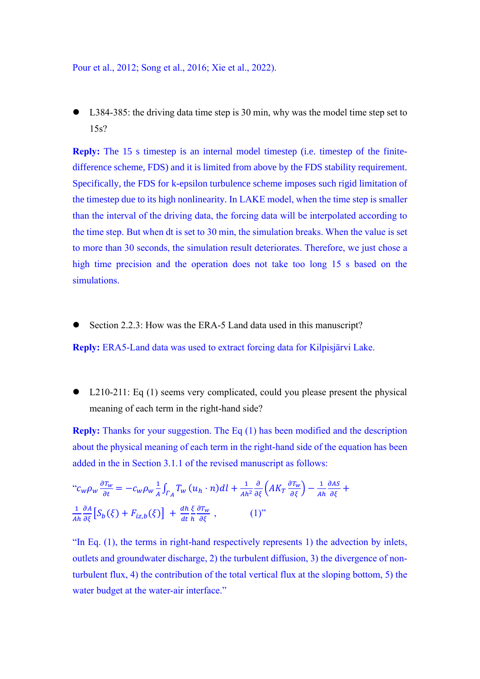Pour et al., 2012; Song et al., 2016; Xie et al., 2022).

L384-385: the driving data time step is 30 min, why was the model time step set to 15s?

**Reply:** The 15 s timestep is an internal model timestep (i.e. timestep of the finitedifference scheme, FDS) and it is limited from above by the FDS stability requirement. Specifically, the FDS for k-epsilon turbulence scheme imposes such rigid limitation of the timestep due to its high nonlinearity. In LAKE model, when the time step is smaller than the interval of the driving data, the forcing data will be interpolated according to the time step. But when dt is set to 30 min, the simulation breaks. When the value is set to more than 30 seconds, the simulation result deteriorates. Therefore, we just chose a high time precision and the operation does not take too long 15 s based on the simulations.

Section 2.2.3: How was the ERA-5 Land data used in this manuscript?

**Reply:** ERA5-Land data was used to extract forcing data for Kilpisjärvi Lake.

⚫ L210-211: Eq (1) seems very complicated, could you please present the physical meaning of each term in the right-hand side?

**Reply:** Thanks for your suggestion. The Eq (1) has been modified and the description about the physical meaning of each term in the right-hand side of the equation has been added in the in Section 3.1.1 of the revised manuscript as follows:

$$
"c_w \rho_w \frac{\partial T_w}{\partial t} = -c_w \rho_w \frac{1}{A} \int_{\Gamma_A} T_w (u_h \cdot n) dl + \frac{1}{A h^2} \frac{\partial}{\partial \xi} \left( A K_T \frac{\partial T_w}{\partial \xi} \right) - \frac{1}{A h} \frac{\partial A \xi}{\partial \xi} +
$$
  

$$
\frac{1}{A h} \frac{\partial A}{\partial \xi} \left[ S_b(\xi) + F_{iz,b}(\xi) \right] + \frac{d h}{d t} \frac{\xi}{h} \frac{\partial T_w}{\partial \xi} , \qquad (1)"
$$

"In Eq. (1), the terms in right-hand respectively represents 1) the advection by inlets, outlets and groundwater discharge, 2) the turbulent diffusion, 3) the divergence of nonturbulent flux, 4) the contribution of the total vertical flux at the sloping bottom, 5) the water budget at the water-air interface."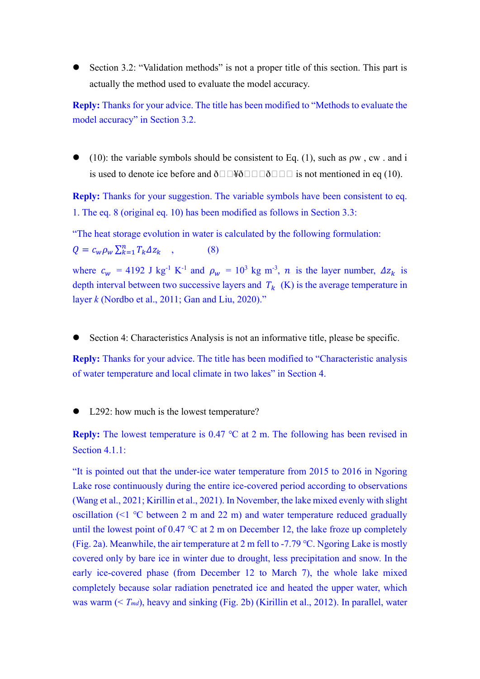Section 3.2: "Validation methods" is not a proper title of this section. This part is actually the method used to evaluate the model accuracy.

**Reply:** Thanks for your advice. The title has been modified to "Methods to evaluate the model accuracy" in Section 3.2.

(10): the variable symbols should be consistent to Eq. (1), such as  $\rho w$ , cw. and i is used to denote ice before and  $\delta \Box \Box \Psi \delta \Box \Box \Box \delta \Box \Box$  is not mentioned in eq (10).

**Reply:** Thanks for your suggestion. The variable symbols have been consistent to eq. 1. The eq. 8 (original eq. 10) has been modified as follows in Section 3.3:

"The heat storage evolution in water is calculated by the following formulation:  $Q = c_w \rho_w \sum_{k=1}^n T_k \Delta z_k$ , (8)

where  $c_w = 4192$  J kg<sup>-1</sup> K<sup>-1</sup> and  $\rho_w = 10^3$  kg m<sup>-3</sup>, *n* is the layer number,  $\Delta z_k$  is depth interval between two successive layers and  $T_k$  (K) is the average temperature in layer *k* (Nordbo et al., 2011; Gan and Liu, 2020)."

Section 4: Characteristics Analysis is not an informative title, please be specific.

**Reply:** Thanks for your advice. The title has been modified to "Characteristic analysis of water temperature and local climate in two lakes" in Section 4.

L292: how much is the lowest temperature?

**Reply:** The lowest temperature is 0.47 ℃ at 2 m. The following has been revised in Section 4.1.1:

"It is pointed out that the under-ice water temperature from 2015 to 2016 in Ngoring Lake rose continuously during the entire ice-covered period according to observations (Wang et al., 2021; Kirillin et al., 2021). In November, the lake mixed evenly with slight oscillation (<1 ℃ between 2 m and 22 m) and water temperature reduced gradually until the lowest point of  $0.47 \degree C$  at 2 m on December 12, the lake froze up completely (Fig. 2a). Meanwhile, the air temperature at 2 m fell to -7.79 ℃. Ngoring Lake is mostly covered only by bare ice in winter due to drought, less precipitation and snow. In the early ice-covered phase (from December 12 to March 7), the whole lake mixed completely because solar radiation penetrated ice and heated the upper water, which was warm (< *Tmd*), heavy and sinking (Fig. 2b) (Kirillin et al., 2012). In parallel, water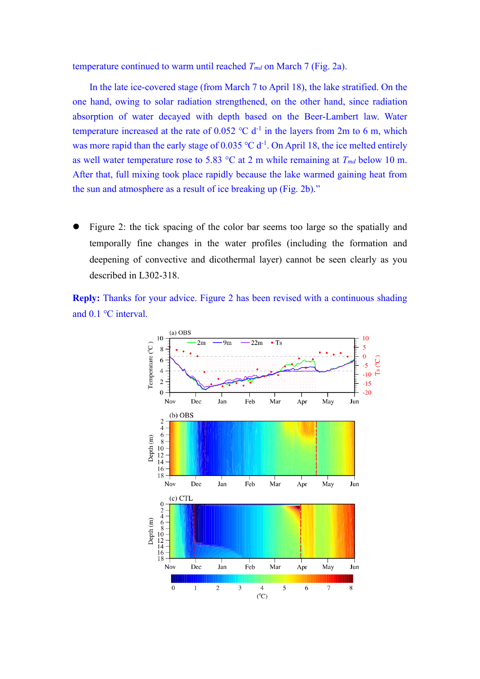temperature continued to warm until reached *Tmd* on March 7 (Fig. 2a).

In the late ice-covered stage (from March 7 to April 18), the lake stratified. On the one hand, owing to solar radiation strengthened, on the other hand, since radiation absorption of water decayed with depth based on the Beer-Lambert law. Water temperature increased at the rate of  $0.052$  °C d<sup>-1</sup> in the layers from 2m to 6 m, which was more rapid than the early stage of  $0.035 \text{ °C d}^{-1}$ . On April 18, the ice melted entirely as well water temperature rose to 5.83  $\degree$ C at 2 m while remaining at  $T_{md}$  below 10 m. After that, full mixing took place rapidly because the lake warmed gaining heat from the sun and atmosphere as a result of ice breaking up (Fig. 2b)."

⚫ Figure 2: the tick spacing of the color bar seems too large so the spatially and temporally fine changes in the water profiles (including the formation and deepening of convective and dicothermal layer) cannot be seen clearly as you described in L302-318.

**Reply:** Thanks for your advice. Figure 2 has been revised with a continuous shading and 0.1 ℃ interval.

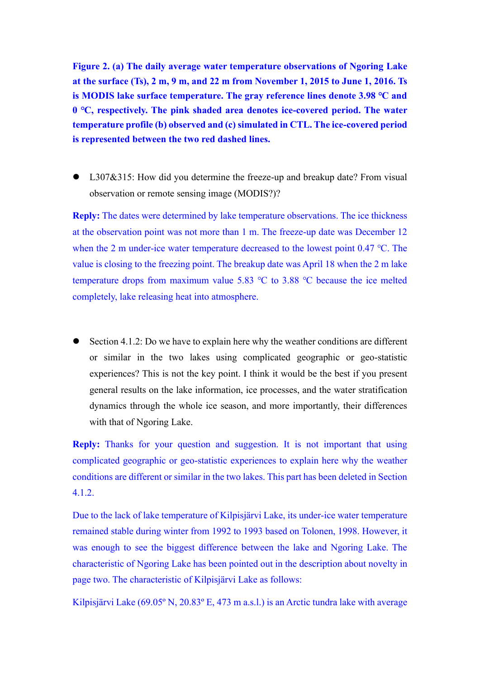**Figure 2. (a) The daily average water temperature observations of Ngoring Lake at the surface (Ts), 2 m, 9 m, and 22 m from November 1, 2015 to June 1, 2016. Ts is MODIS lake surface temperature. The gray reference lines denote 3.98 ℃ and 0 ℃, respectively. The pink shaded area denotes ice-covered period. The water temperature profile (b) observed and (c) simulated in CTL. The ice-covered period is represented between the two red dashed lines.**

● L307&315: How did you determine the freeze-up and breakup date? From visual observation or remote sensing image (MODIS?)?

**Reply:** The dates were determined by lake temperature observations. The ice thickness at the observation point was not more than 1 m. The freeze-up date was December 12 when the 2 m under-ice water temperature decreased to the lowest point 0.47 ℃. The value is closing to the freezing point. The breakup date was April 18 when the 2 m lake temperature drops from maximum value 5.83 ℃ to 3.88 ℃ because the ice melted completely, lake releasing heat into atmosphere.

⚫ Section 4.1.2: Do we have to explain here why the weather conditions are different or similar in the two lakes using complicated geographic or geo-statistic experiences? This is not the key point. I think it would be the best if you present general results on the lake information, ice processes, and the water stratification dynamics through the whole ice season, and more importantly, their differences with that of Ngoring Lake.

**Reply:** Thanks for your question and suggestion. It is not important that using complicated geographic or geo-statistic experiences to explain here why the weather conditions are different or similar in the two lakes. This part has been deleted in Section 4.1.2.

Due to the lack of lake temperature of Kilpisjärvi Lake, its under-ice water temperature remained stable during winter from 1992 to 1993 based on Tolonen, 1998. However, it was enough to see the biggest difference between the lake and Ngoring Lake. The characteristic of Ngoring Lake has been pointed out in the description about novelty in page two. The characteristic of Kilpisjärvi Lake as follows:

Kilpisjärvi Lake (69.05º N, 20.83º E, 473 m a.s.l.) is an Arctic tundra lake with average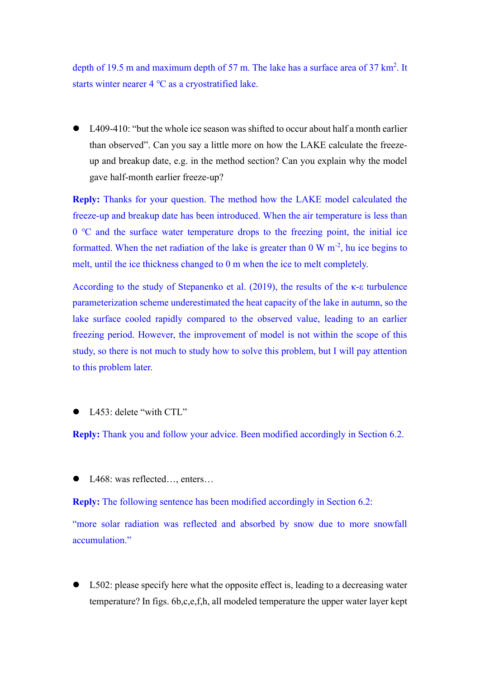depth of 19.5 m and maximum depth of 57 m. The lake has a surface area of  $37 \text{ km}^2$ . It starts winter nearer 4 ℃ as a cryostratified lake.

● L409-410: "but the whole ice season was shifted to occur about half a month earlier than observed". Can you say a little more on how the LAKE calculate the freezeup and breakup date, e.g. in the method section? Can you explain why the model gave half-month earlier freeze-up?

**Reply:** Thanks for your question. The method how the LAKE model calculated the freeze-up and breakup date has been introduced. When the air temperature is less than 0 ℃ and the surface water temperature drops to the freezing point, the initial ice formatted. When the net radiation of the lake is greater than  $0 \text{ W m}^2$ , hu ice begins to melt, until the ice thickness changed to 0 m when the ice to melt completely.

According to the study of Stepanenko et al. (2019), the results of the κ-ε turbulence parameterization scheme underestimated the heat capacity of the lake in autumn, so the lake surface cooled rapidly compared to the observed value, leading to an earlier freezing period. However, the improvement of model is not within the scope of this study, so there is not much to study how to solve this problem, but I will pay attention to this problem later.

L<sub>453</sub>: delete "with CTL"

**Reply:** Thank you and follow your advice. Been modified accordingly in Section 6.2.

L468: was reflected..., enters...

**Reply:** The following sentence has been modified accordingly in Section 6.2:

"more solar radiation was reflected and absorbed by snow due to more snowfall accumulation."

L502: please specify here what the opposite effect is, leading to a decreasing water temperature? In figs. 6b,c,e,f,h, all modeled temperature the upper water layer kept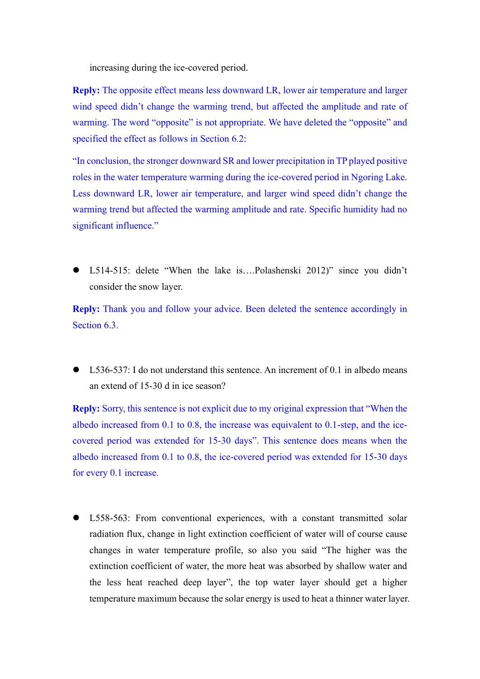increasing during the ice-covered period.

**Reply:** The opposite effect means less downward LR, lower air temperature and larger wind speed didn't change the warming trend, but affected the amplitude and rate of warming. The word "opposite" is not appropriate. We have deleted the "opposite" and specified the effect as follows in Section 6.2:

"In conclusion, the stronger downward SR and lower precipitation in TP played positive roles in the water temperature warming during the ice-covered period in Ngoring Lake. Less downward LR, lower air temperature, and larger wind speed didn't change the warming trend but affected the warming amplitude and rate. Specific humidity had no significant influence."

● L514-515: delete "When the lake is....Polashenski 2012)" since you didn't consider the snow layer.

**Reply:** Thank you and follow your advice. Been deleted the sentence accordingly in Section 6.3.

⚫ L536-537: I do not understand this sentence. An increment of 0.1 in albedo means an extend of 15-30 d in ice season?

**Reply:** Sorry, this sentence is not explicit due to my original expression that "When the albedo increased from 0.1 to 0.8, the increase was equivalent to 0.1-step, and the icecovered period was extended for 15-30 days". This sentence does means when the albedo increased from 0.1 to 0.8, the ice-covered period was extended for 15-30 days for every 0.1 increase.

⚫ L558-563: From conventional experiences, with a constant transmitted solar radiation flux, change in light extinction coefficient of water will of course cause changes in water temperature profile, so also you said "The higher was the extinction coefficient of water, the more heat was absorbed by shallow water and the less heat reached deep layer", the top water layer should get a higher temperature maximum because the solar energy is used to heat a thinner water layer.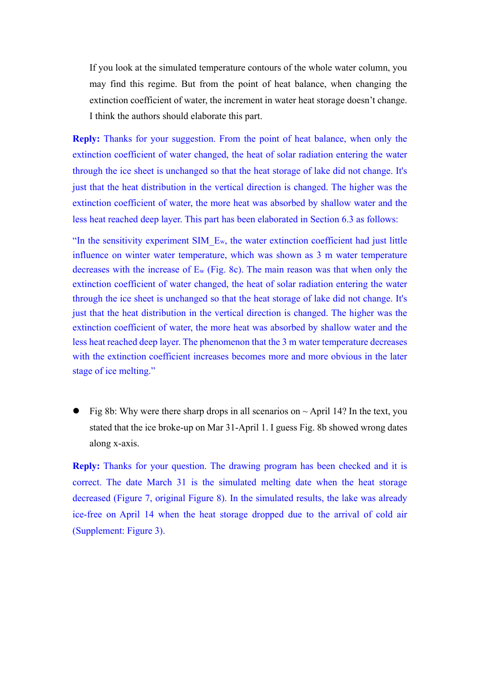If you look at the simulated temperature contours of the whole water column, you may find this regime. But from the point of heat balance, when changing the extinction coefficient of water, the increment in water heat storage doesn't change. I think the authors should elaborate this part.

**Reply:** Thanks for your suggestion. From the point of heat balance, when only the extinction coefficient of water changed, the heat of solar radiation entering the water through the ice sheet is unchanged so that the heat storage of lake did not change. It's just that the heat distribution in the vertical direction is changed. The higher was the extinction coefficient of water, the more heat was absorbed by shallow water and the less heat reached deep layer. This part has been elaborated in Section 6.3 as follows:

"In the sensitivity experiment SIM  $E_w$ , the water extinction coefficient had just little influence on winter water temperature, which was shown as 3 m water temperature decreases with the increase of E<sup>w</sup> (Fig. 8c). The main reason was that when only the extinction coefficient of water changed, the heat of solar radiation entering the water through the ice sheet is unchanged so that the heat storage of lake did not change. It's just that the heat distribution in the vertical direction is changed. The higher was the extinction coefficient of water, the more heat was absorbed by shallow water and the less heat reached deep layer. The phenomenon that the 3 m water temperature decreases with the extinction coefficient increases becomes more and more obvious in the later stage of ice melting."

Fig 8b: Why were there sharp drops in all scenarios on  $\sim$  April 14? In the text, you stated that the ice broke-up on Mar 31-April 1. I guess Fig. 8b showed wrong dates along x-axis.

**Reply:** Thanks for your question. The drawing program has been checked and it is correct. The date March 31 is the simulated melting date when the heat storage decreased (Figure 7, original Figure 8). In the simulated results, the lake was already ice-free on April 14 when the heat storage dropped due to the arrival of cold air (Supplement: Figure 3).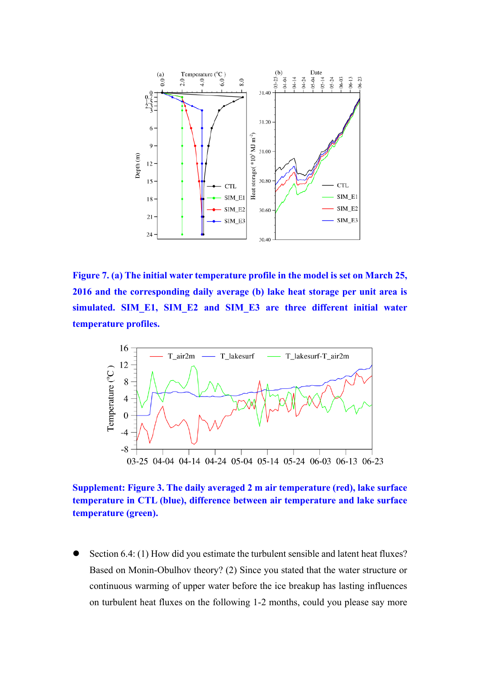

**Figure 7. (a) The initial water temperature profile in the model is set on March 25, 2016 and the corresponding daily average (b) lake heat storage per unit area is simulated. SIM\_E1, SIM\_E2 and SIM\_E3 are three different initial water temperature profiles.**



**Supplement: Figure 3. The daily averaged 2 m air temperature (red), lake surface temperature in CTL (blue), difference between air temperature and lake surface temperature (green).**

Section 6.4: (1) How did you estimate the turbulent sensible and latent heat fluxes? Based on Monin-Obulhov theory? (2) Since you stated that the water structure or continuous warming of upper water before the ice breakup has lasting influences on turbulent heat fluxes on the following 1-2 months, could you please say more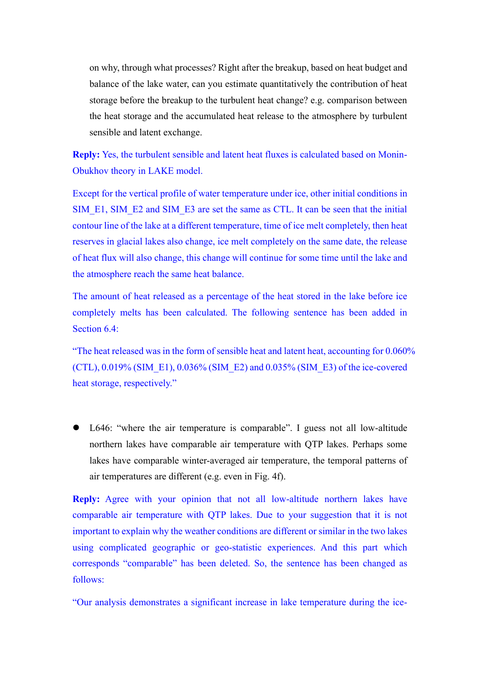on why, through what processes? Right after the breakup, based on heat budget and balance of the lake water, can you estimate quantitatively the contribution of heat storage before the breakup to the turbulent heat change? e.g. comparison between the heat storage and the accumulated heat release to the atmosphere by turbulent sensible and latent exchange.

**Reply:** Yes, the turbulent sensible and latent heat fluxes is calculated based on Monin-Obukhov theory in LAKE model.

Except for the vertical profile of water temperature under ice, other initial conditions in SIM\_E1, SIM\_E2 and SIM\_E3 are set the same as CTL. It can be seen that the initial contour line of the lake at a different temperature, time of ice melt completely, then heat reserves in glacial lakes also change, ice melt completely on the same date, the release of heat flux will also change, this change will continue for some time until the lake and the atmosphere reach the same heat balance.

The amount of heat released as a percentage of the heat stored in the lake before ice completely melts has been calculated. The following sentence has been added in Section 6.4:

"The heat released was in the form of sensible heat and latent heat, accounting for 0.060% (CTL),  $0.019\%$  (SIM E1),  $0.036\%$  (SIM E2) and  $0.035\%$  (SIM E3) of the ice-covered heat storage, respectively."

⚫ L646: "where the air temperature is comparable". I guess not all low-altitude northern lakes have comparable air temperature with QTP lakes. Perhaps some lakes have comparable winter-averaged air temperature, the temporal patterns of air temperatures are different (e.g. even in Fig. 4f).

**Reply:** Agree with your opinion that not all low-altitude northern lakes have comparable air temperature with QTP lakes. Due to your suggestion that it is not important to explain why the weather conditions are different or similar in the two lakes using complicated geographic or geo-statistic experiences. And this part which corresponds "comparable" has been deleted. So, the sentence has been changed as follows:

"Our analysis demonstrates a significant increase in lake temperature during the ice-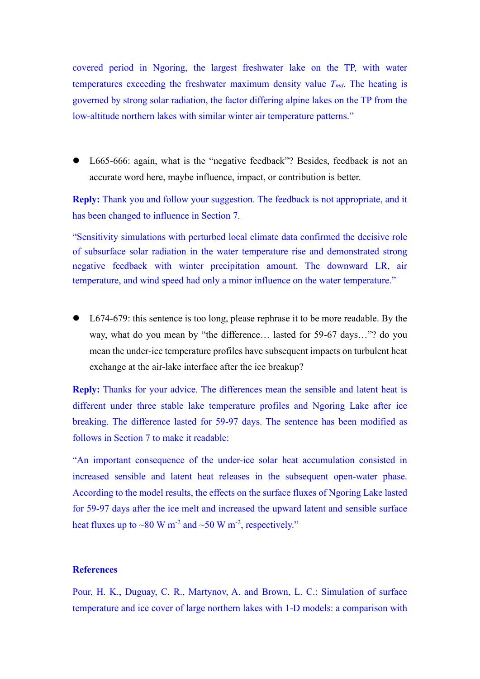covered period in Ngoring, the largest freshwater lake on the TP, with water temperatures exceeding the freshwater maximum density value *Tmd*. The heating is governed by strong solar radiation, the factor differing alpine lakes on the TP from the low-altitude northern lakes with similar winter air temperature patterns."

⚫ L665-666: again, what is the "negative feedback"? Besides, feedback is not an accurate word here, maybe influence, impact, or contribution is better.

**Reply:** Thank you and follow your suggestion. The feedback is not appropriate, and it has been changed to influence in Section 7.

"Sensitivity simulations with perturbed local climate data confirmed the decisive role of subsurface solar radiation in the water temperature rise and demonstrated strong negative feedback with winter precipitation amount. The downward LR, air temperature, and wind speed had only a minor influence on the water temperature."

● L674-679: this sentence is too long, please rephrase it to be more readable. By the way, what do you mean by "the difference… lasted for 59-67 days…"? do you mean the under-ice temperature profiles have subsequent impacts on turbulent heat exchange at the air-lake interface after the ice breakup?

**Reply:** Thanks for your advice. The differences mean the sensible and latent heat is different under three stable lake temperature profiles and Ngoring Lake after ice breaking. The difference lasted for 59-97 days. The sentence has been modified as follows in Section 7 to make it readable:

"An important consequence of the under-ice solar heat accumulation consisted in increased sensible and latent heat releases in the subsequent open-water phase. According to the model results, the effects on the surface fluxes of Ngoring Lake lasted for 59-97 days after the ice melt and increased the upward latent and sensible surface heat fluxes up to  $\sim80$  W m<sup>-2</sup> and  $\sim50$  W m<sup>-2</sup>, respectively."

#### **References**

Pour, H. K., Duguay, C. R., Martynov, A. and Brown, L. C.: Simulation of surface temperature and ice cover of large northern lakes with 1-D models: a comparison with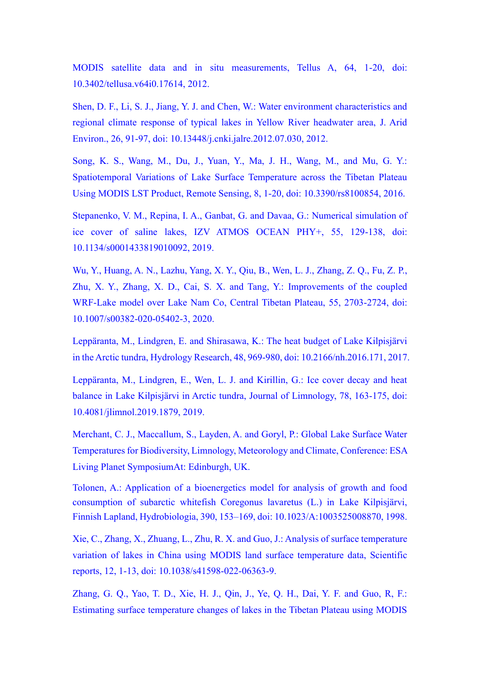MODIS satellite data and in situ measurements, Tellus A, 64, 1-20, doi: 10.3402/tellusa.v64i0.17614, 2012.

Shen, D. F., Li, S. J., Jiang, Y. J. and Chen, W.: Water environment characteristics and regional climate response of typical lakes in Yellow River headwater area, J. Arid Environ., 26, 91-97, doi: 10.13448/j.cnki.jalre.2012.07.030, 2012.

Song, K. S., Wang, M., Du, J., Yuan, Y., Ma, J. H., Wang, M., and Mu, G. Y.: Spatiotemporal Variations of Lake Surface Temperature across the Tibetan Plateau Using MODIS LST Product, Remote Sensing, 8, 1-20, doi: 10.3390/rs8100854, 2016.

Stepanenko, V. M., Repina, I. A., Ganbat, G. and Davaa, G.: Numerical simulation of ice cover of saline lakes, IZV ATMOS OCEAN PHY+, 55, 129-138, doi: 10.1134/s0001433819010092, 2019.

Wu, Y., Huang, A. N., Lazhu, Yang, X. Y., Qiu, B., Wen, L. J., Zhang, Z. Q., Fu, Z. P., Zhu, X. Y., Zhang, X. D., Cai, S. X. and Tang, Y.: Improvements of the coupled WRF‑Lake model over Lake Nam Co, Central Tibetan Plateau, 55, 2703-2724, doi: 10.1007/s00382-020-05402-3, 2020.

Leppäranta, M., Lindgren, E. and Shirasawa, K.: The heat budget of Lake Kilpisjärvi in the Arctic tundra, Hydrology Research, 48, 969-980, doi: 10.2166/nh.2016.171, 2017.

Leppäranta, M., Lindgren, E., Wen, L. J. and Kirillin, G.: Ice cover decay and heat balance in Lake Kilpisjärvi in Arctic tundra, Journal of Limnology, 78, 163-175, doi: 10.4081/jlimnol.2019.1879, 2019.

Merchant, C. J., Maccallum, S., Layden, A. and Goryl, P.: Global Lake Surface Water Temperatures for Biodiversity, Limnology, Meteorology and Climate, Conference: ESA Living Planet SymposiumAt: Edinburgh, UK.

Tolonen, A.: Application of a bioenergetics model for analysis of growth and food consumption of subarctic whitefish Coregonus lavaretus (L.) in Lake Kilpisjärvi, Finnish Lapland, Hydrobiologia, 390, 153–169, doi: 10.1023/A:1003525008870, 1998.

Xie, C., Zhang, X., Zhuang, L., Zhu, R. X. and Guo, J.: Analysis of surface temperature variation of lakes in China using MODIS land surface temperature data, Scientific reports, 12, 1-13, doi: 10.1038/s41598-022-06363-9.

Zhang, G. Q., Yao, T. D., Xie, H. J., Qin, J., Ye, Q. H., Dai, Y. F. and Guo, R, F.: Estimating surface temperature changes of lakes in the Tibetan Plateau using MODIS